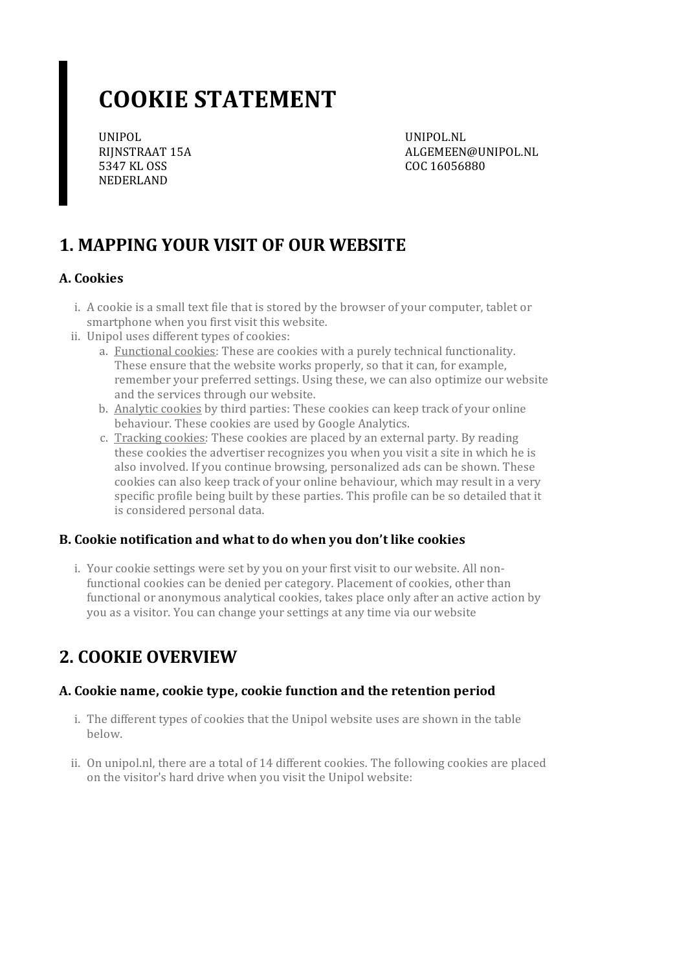# **COOKIE STATEMENT**

UNIPOL RIJNSTRAAT 15A 5347 KL OSS NEDERLAND

UNIPOL.NL ALGEMEEN@UNIPOL.NL COC 16056880

# **1. MAPPING YOUR VISIT OF OUR WEBSITE**

#### **A. Cookies**

- i. A cookie is a small text file that is stored by the browser of your computer, tablet or smartphone when you first visit this website.
- ii. Unipol uses different types of cookies:
	- a. Functional cookies: These are cookies with a purely technical functionality. These ensure that the website works properly, so that it can, for example, remember your preferred settings. Using these, we can also optimize our website and the services through our website.
	- b. Analytic cookies by third parties: These cookies can keep track of your online behaviour. These cookies are used by Google Analytics.
	- c. Tracking cookies: These cookies are placed by an external party. By reading these cookies the advertiser recognizes you when you visit a site in which he is also involved. If you continue browsing, personalized ads can be shown. These cookies can also keep track of your online behaviour, which may result in a very specific profile being built by these parties. This profile can be so detailed that it is considered personal data.

#### **B. Cookie notification and what to do when you don't like cookies**

i. Your cookie settings were set by you on your first visit to our website. All nonfunctional cookies can be denied per category. Placement of cookies, other than functional or anonymous analytical cookies, takes place only after an active action by you as a visitor. You can change your settings at any time via our website

### **2. COOKIE OVERVIEW**

#### **A. Cookie name,cookie type,cookie function and the retention period**

- i. The different types of cookies that the Unipol website uses are shown in the table below.
- ii. On unipol.nl, there are a total of 14 different cookies. The following cookies are placed on the visitor's hard drive when you visit the Unipol website: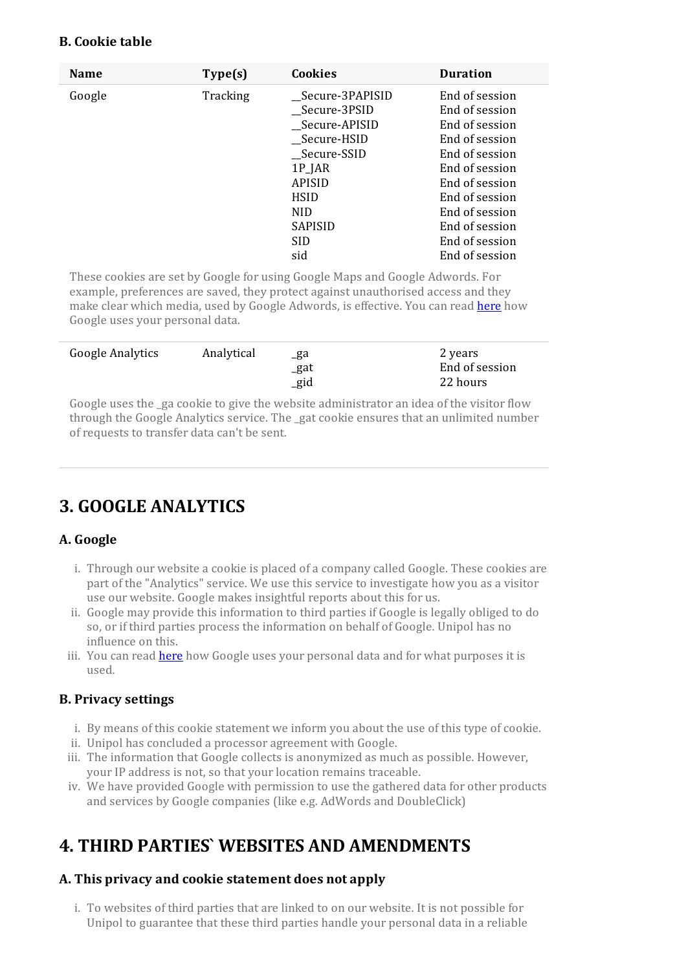#### **B. Cookie table**

| <b>Name</b> | Type(s)  | <b>Cookies</b>   | <b>Duration</b> |
|-------------|----------|------------------|-----------------|
| Google      | Tracking | _Secure-3PAPISID | End of session  |
|             |          | Secure-3PSID     | End of session  |
|             |          | _Secure-APISID   | End of session  |
|             |          | Secure-HSID      | End of session  |
|             |          | Secure-SSID      | End of session  |
|             |          | $1P$ ]AR         | End of session  |
|             |          | <b>APISID</b>    | End of session  |
|             |          | <b>HSID</b>      | End of session  |
|             |          | <b>NID</b>       | End of session  |
|             |          | <b>SAPISID</b>   | End of session  |
|             |          | <b>SID</b>       | End of session  |
|             |          | sid              | End of session  |

These cookies are set by Google for using Google Maps and Google Adwords. For example, preferences are saved, they protect against unauthorised access and they make clear which media, used by Google Adwords, is effective. You can read [here](https://policies.google.com/technologies/partner-sites?hl=en) how Google uses your personal data.

| Google Analytics | Analytical | _ga<br>_gat<br>$_{\rm gid}$ | 2 years<br>End of session<br>22 hours |
|------------------|------------|-----------------------------|---------------------------------------|
|                  |            |                             |                                       |

Google uses the ga cookie to give the website administrator an idea of the visitor flow through the Google Analytics service. The \_gat cookie ensures that an unlimited number ofrequests to transfer data can't be sent.

# **3. GOOGLE ANALYTICS**

#### **A. Google**

- i. Through our website a cookie is placed of a company called Google. These cookies are part of the "Analytics" service. We use this service to investigate how you as a visitor use our website. Google makes insightful reports about this for us.
- ii. Google may provide this information to third parties if Google is legally obliged to do so, or if third parties process the information on behalf of Google. Unipol has no influence on this.
- iii. You can read [here](https://policies.google.com/technologies/partner-sites?hl=en) how Google uses your personal data and for what purposes it is used.

#### **B. Privacy settings**

- i. By means of this cookie statement we inform you about the use of this type ofcookie.
- ii. Unipol has concluded a processor agreement with Google.
- iii. The information that Google collects is anonymized as much as possible. However, your IP address is not, so that your location remains traceable.
- iv. We have provided Google with permission to use the gathered data for other products and services by Google companies (like e.g. AdWords and DoubleClick)

# **4. THIRD PARTIES` WEBSITES AND AMENDMENTS**

#### **A. This privacy and cookie statement does not apply**

i. To websites of third parties that are linked to on our website. It is not possible for Unipol to guarantee that these third parties handle your personal data in a reliable